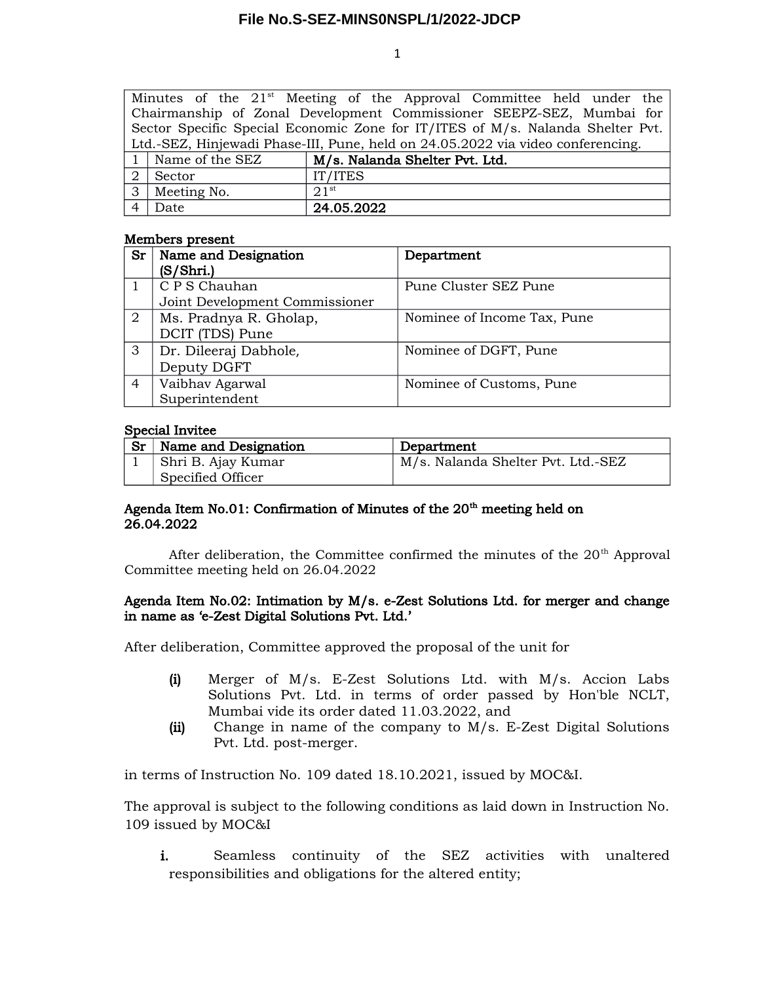1

|                                                                                 |                   | Minutes of the 21 <sup>st</sup> Meeting of the Approval Committee held under the |  |  |  |
|---------------------------------------------------------------------------------|-------------------|----------------------------------------------------------------------------------|--|--|--|
| Chairmanship of Zonal Development Commissioner SEEPZ-SEZ, Mumbai for            |                   |                                                                                  |  |  |  |
| Sector Specific Special Economic Zone for IT/ITES of M/s. Nalanda Shelter Pvt.  |                   |                                                                                  |  |  |  |
| Ltd.-SEZ, Hinjewadi Phase-III, Pune, held on 24.05.2022 via video conferencing. |                   |                                                                                  |  |  |  |
|                                                                                 | 1 Name of the SEZ | M/s. Nalanda Shelter Pvt. Ltd.                                                   |  |  |  |
| 2                                                                               | Sector            | IT/ITES                                                                          |  |  |  |
|                                                                                 | 3 Meeting No.     | 21 <sup>st</sup>                                                                 |  |  |  |
|                                                                                 | Date              | 24.05.2022                                                                       |  |  |  |

#### Members present

| Sr             | Name and Designation           | Department                  |
|----------------|--------------------------------|-----------------------------|
|                | (S/Shri.)                      |                             |
|                | C P S Chauhan                  | Pune Cluster SEZ Pune       |
|                | Joint Development Commissioner |                             |
| 2              | Ms. Pradnya R. Gholap,         | Nominee of Income Tax, Pune |
|                | DCIT (TDS) Pune                |                             |
| 3              | Dr. Dileeraj Dabhole,          | Nominee of DGFT, Pune       |
|                | Deputy DGFT                    |                             |
| $\overline{4}$ | Vaibhav Agarwal                | Nominee of Customs, Pune    |
|                | Superintendent                 |                             |

### Special Invitee

| Sr | Name and Designation | Department                         |
|----|----------------------|------------------------------------|
|    | Shri B. Ajay Kumar   | M/s. Nalanda Shelter Pvt. Ltd.-SEZ |
|    | Specified Officer    |                                    |

# Agenda Item No.01: Confirmation of Minutes of the  $20<sup>th</sup>$  meeting held on 26.04.2022

After deliberation, the Committee confirmed the minutes of the  $20<sup>th</sup>$  Approval Committee meeting held on 26.04.2022

### Agenda Item No.02: Intimation by M/s. e-Zest Solutions Ltd. for merger and change in name as 'e-Zest Digital Solutions Pvt. Ltd.'

After deliberation, Committee approved the proposal of the unit for

- (i) Merger of  $M/s$ . E-Zest Solutions Ltd. with  $M/s$ . Accion Labs Solutions Pvt. Ltd. in terms of order passed by Hon'ble NCLT, Mumbai vide its order dated 11.03.2022, and
- (ii) Change in name of the company to M/s. E-Zest Digital Solutions Pvt. Ltd. post-merger.

in terms of Instruction No. 109 dated 18.10.2021, issued by MOC&I.

The approval is subject to the following conditions as laid down in Instruction No. 109 issued by MOC&I

i. Seamless continuity of the SEZ activities with unaltered responsibilities and obligations for the altered entity;